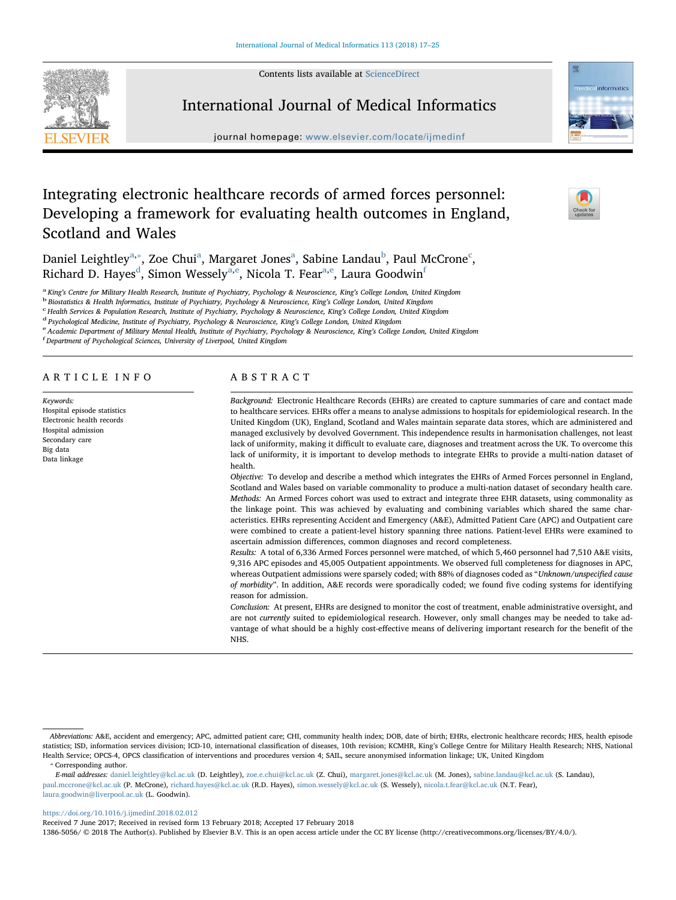Contents lists available at [ScienceDirect](http://www.sciencedirect.com/science/journal/13865056)





journal homepage: [www.elsevier.com/locate/ijmedinf](https://www.elsevier.com/locate/ijmedinf)

# Integrating electronic healthcare records of armed forces personnel: Developing a framework for evaluating health outcomes in England, Scotland and Wales

D[a](#page-0-0)niel Leightley $^{\rm a, *},$  Zoe Chui $^{\rm a}$ , Margaret Jones $^{\rm a}$ , Sa[b](#page-0-2)ine Landau $^{\rm b}$ , Paul M[c](#page-0-3)Crone $^{\rm c}$ , Richar[d](#page-0-4) D. Hayes<sup>d</sup>, Simon Wessely<sup>[a,](#page-0-0)[e](#page-0-5)</sup>, Nicol[a](#page-0-0) T. Fear<sup>a[,e](#page-0-5)</sup>, Laura Goodwin<sup>[f](#page-0-6)</sup>

<span id="page-0-0"></span><sup>a</sup> King's Centre for Military Health Research, Institute of Psychiatry, Psychology & Neuroscience, King's College London, United Kingdom<br><sup>b</sup> Biostatistics & Health Informatics, Institute of Psychiatry, Psychology & Neuros

<span id="page-0-3"></span><span id="page-0-2"></span>

<span id="page-0-5"></span>

<span id="page-0-4"></span><sup>d</sup> Psychological Medicine, Institute of Psychiatry, Psychology & Neuroscience, King's College London, United Kingdom<br><sup>e</sup> Academic Department of Military Mental Health, Institute of Psychiatry, Psychology & Neuroscience, K

<span id="page-0-6"></span>Department of Psychological Sciences, University of Liverpool, United Kingdom

# ARTICLE INFO

Keywords: Hospital episode statistics Electronic health records Hospital admission Secondary care Big data Data linkage

# ABSTRACT

Background: Electronic Healthcare Records (EHRs) are created to capture summaries of care and contact made to healthcare services. EHRs offer a means to analyse admissions to hospitals for epidemiological research. In the United Kingdom (UK), England, Scotland and Wales maintain separate data stores, which are administered and managed exclusively by devolved Government. This independence results in harmonisation challenges, not least lack of uniformity, making it difficult to evaluate care, diagnoses and treatment across the UK. To overcome this lack of uniformity, it is important to develop methods to integrate EHRs to provide a multi-nation dataset of health.

Objective: To develop and describe a method which integrates the EHRs of Armed Forces personnel in England, Scotland and Wales based on variable commonality to produce a multi-nation dataset of secondary health care. Methods: An Armed Forces cohort was used to extract and integrate three EHR datasets, using commonality as the linkage point. This was achieved by evaluating and combining variables which shared the same characteristics. EHRs representing Accident and Emergency (A&E), Admitted Patient Care (APC) and Outpatient care were combined to create a patient-level history spanning three nations. Patient-level EHRs were examined to ascertain admission differences, common diagnoses and record completeness.

Results: A total of 6,336 Armed Forces personnel were matched, of which 5,460 personnel had 7,510 A&E visits, 9,316 APC episodes and 45,005 Outpatient appointments. We observed full completeness for diagnoses in APC, whereas Outpatient admissions were sparsely coded; with 88% of diagnoses coded as "Unknown/unspecified cause of morbidity". In addition, A&E records were sporadically coded; we found five coding systems for identifying reason for admission.

Conclusion: At present, EHRs are designed to monitor the cost of treatment, enable administrative oversight, and are not currently suited to epidemiological research. However, only small changes may be needed to take advantage of what should be a highly cost-effective means of delivering important research for the benefit of the NHS.

<span id="page-0-1"></span>⁎ Corresponding author.

E-mail addresses: [daniel.leightley@kcl.ac.uk](mailto:daniel.leightley@kcl.ac.uk) (D. Leightley), [zoe.e.chui@kcl.ac.uk](mailto:zoe.e.chui@kcl.ac.uk) (Z. Chui), [margaret.jones@kcl.ac.uk](mailto:margaret.jones@kcl.ac.uk) (M. Jones), [sabine.landau@kcl.ac.uk](mailto:sabine.landau@kcl.ac.uk) (S. Landau), [paul.mccrone@kcl.ac.uk](mailto:paul.mccrone@kcl.ac.uk) (P. McCrone), [richard.hayes@kcl.ac.uk](mailto:richard.hayes@kcl.ac.uk) (R.D. Hayes), [simon.wessely@kcl.ac.uk](mailto:simon.wessely@kcl.ac.uk) (S. Wessely), [nicola.t.fear@kcl.ac.uk](mailto:nicola.t.fear@kcl.ac.uk) (N.T. Fear), [laura.goodwin@liverpool.ac.uk](mailto:laura.goodwin@liverpool.ac.uk) (L. Goodwin).

### <https://doi.org/10.1016/j.ijmedinf.2018.02.012>

Received 7 June 2017; Received in revised form 13 February 2018; Accepted 17 February 2018

1386-5056/ © 2018 The Author(s). Published by Elsevier B.V. This is an open access article under the CC BY license (http://creativecommons.org/licenses/BY/4.0/).



Abbreviations: A&E, accident and emergency; APC, admitted patient care; CHI, community health index; DOB, date of birth; EHRs, electronic healthcare records; HES, health episode statistics; ISD, information services division; ICD-10, international classification of diseases, 10th revision; KCMHR, King's College Centre for Military Health Research; NHS, National Health Service; OPCS-4, OPCS classification of interventions and procedures version 4; SAIL, secure anonymised information linkage; UK, United Kingdom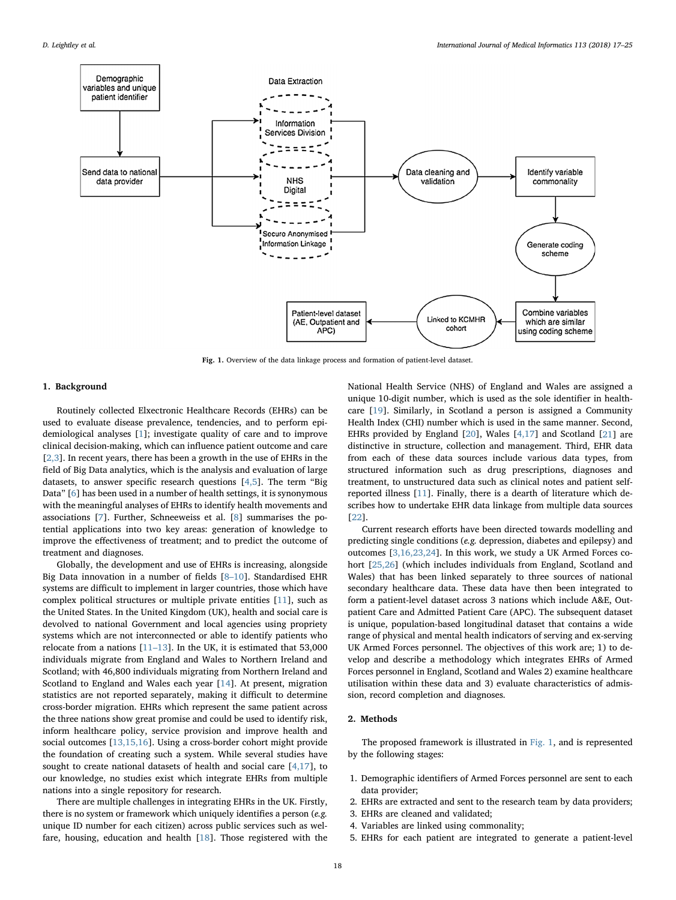<span id="page-1-0"></span>

Fig. 1. Overview of the data linkage process and formation of patient-level dataset.

# 1. Background

Routinely collected Elxectronic Healthcare Records (EHRs) can be used to evaluate disease prevalence, tendencies, and to perform epidemiological analyses [\[1\]](#page-7-0); investigate quality of care and to improve clinical decision-making, which can influence patient outcome and care [[2,3](#page-7-1)]. In recent years, there has been a growth in the use of EHRs in the field of Big Data analytics, which is the analysis and evaluation of large datasets, to answer specific research questions  $[4,5]$  $[4,5]$ . The term "Big Data" [[6](#page-7-3)] has been used in a number of health settings, it is synonymous with the meaningful analyses of EHRs to identify health movements and associations [[7](#page-7-4)]. Further, Schneeweiss et al. [\[8\]](#page-7-5) summarises the potential applications into two key areas: generation of knowledge to improve the effectiveness of treatment; and to predict the outcome of treatment and diagnoses.

Globally, the development and use of EHRs is increasing, alongside Big Data innovation in a number of fields [8–[10](#page-7-5)]. Standardised EHR systems are difficult to implement in larger countries, those which have complex political structures or multiple private entities [\[11](#page-7-6)], such as the United States. In the United Kingdom (UK), health and social care is devolved to national Government and local agencies using propriety systems which are not interconnected or able to identify patients who relocate from a nations [11–[13\]](#page-7-6). In the UK, it is estimated that 53,000 individuals migrate from England and Wales to Northern Ireland and Scotland; with 46,800 individuals migrating from Northern Ireland and Scotland to England and Wales each year [\[14](#page-7-7)]. At present, migration statistics are not reported separately, making it difficult to determine cross-border migration. EHRs which represent the same patient across the three nations show great promise and could be used to identify risk, inform healthcare policy, service provision and improve health and social outcomes [\[13,15,16\]](#page-7-8). Using a cross-border cohort might provide the foundation of creating such a system. While several studies have sought to create national datasets of health and social care  $[4,17]$  $[4,17]$ , to our knowledge, no studies exist which integrate EHRs from multiple nations into a single repository for research.

There are multiple challenges in integrating EHRs in the UK. Firstly, there is no system or framework which uniquely identifies a person (e.g. unique ID number for each citizen) across public services such as welfare, housing, education and health [[18\]](#page-7-9). Those registered with the National Health Service (NHS) of England and Wales are assigned a unique 10-digit number, which is used as the sole identifier in healthcare [[19\]](#page-7-10). Similarly, in Scotland a person is assigned a Community Health Index (CHI) number which is used in the same manner. Second, EHRs provided by England [\[20](#page-8-0)], Wales [[4,17](#page-7-2)] and Scotland [\[21](#page-8-1)] are distinctive in structure, collection and management. Third, EHR data from each of these data sources include various data types, from structured information such as drug prescriptions, diagnoses and treatment, to unstructured data such as clinical notes and patient selfreported illness [[11\]](#page-7-6). Finally, there is a dearth of literature which describes how to undertake EHR data linkage from multiple data sources [[22\]](#page-8-2).

Current research efforts have been directed towards modelling and predicting single conditions (e.g. depression, diabetes and epilepsy) and outcomes [\[3,16,23,24](#page-7-11)]. In this work, we study a UK Armed Forces co-hort [[25,26](#page-8-3)] (which includes individuals from England, Scotland and Wales) that has been linked separately to three sources of national secondary healthcare data. These data have then been integrated to form a patient-level dataset across 3 nations which include A&E, Outpatient Care and Admitted Patient Care (APC). The subsequent dataset is unique, population-based longitudinal dataset that contains a wide range of physical and mental health indicators of serving and ex-serving UK Armed Forces personnel. The objectives of this work are; 1) to develop and describe a methodology which integrates EHRs of Armed Forces personnel in England, Scotland and Wales 2) examine healthcare utilisation within these data and 3) evaluate characteristics of admission, record completion and diagnoses.

# 2. Methods

The proposed framework is illustrated in [Fig. 1,](#page-1-0) and is represented by the following stages:

- 1. Demographic identifiers of Armed Forces personnel are sent to each data provider:
- 2. EHRs are extracted and sent to the research team by data providers;
- 3. EHRs are cleaned and validated;
- 4. Variables are linked using commonality;
- 5. EHRs for each patient are integrated to generate a patient-level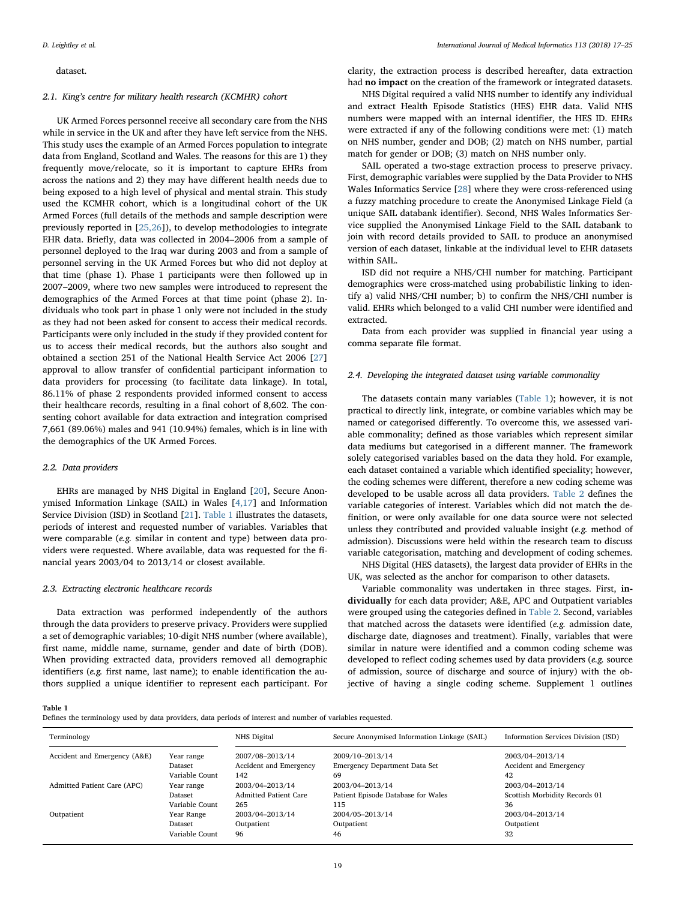### dataset.

# 2.1. King's centre for military health research (KCMHR) cohort

UK Armed Forces personnel receive all secondary care from the NHS while in service in the UK and after they have left service from the NHS. This study uses the example of an Armed Forces population to integrate data from England, Scotland and Wales. The reasons for this are 1) they frequently move/relocate, so it is important to capture EHRs from across the nations and 2) they may have different health needs due to being exposed to a high level of physical and mental strain. This study used the KCMHR cohort, which is a longitudinal cohort of the UK Armed Forces (full details of the methods and sample description were previously reported in [\[25,26\]](#page-8-3)), to develop methodologies to integrate EHR data. Briefly, data was collected in 2004–2006 from a sample of personnel deployed to the Iraq war during 2003 and from a sample of personnel serving in the UK Armed Forces but who did not deploy at that time (phase 1). Phase 1 participants were then followed up in 2007–2009, where two new samples were introduced to represent the demographics of the Armed Forces at that time point (phase 2). Individuals who took part in phase 1 only were not included in the study as they had not been asked for consent to access their medical records. Participants were only included in the study if they provided content for us to access their medical records, but the authors also sought and obtained a section 251 of the National Health Service Act 2006 [\[27](#page-8-4)] approval to allow transfer of confidential participant information to data providers for processing (to facilitate data linkage). In total, 86.11% of phase 2 respondents provided informed consent to access their healthcare records, resulting in a final cohort of 8,602. The consenting cohort available for data extraction and integration comprised 7,661 (89.06%) males and 941 (10.94%) females, which is in line with the demographics of the UK Armed Forces.

# 2.2. Data providers

EHRs are managed by NHS Digital in England [\[20](#page-8-0)], Secure Anonymised Information Linkage (SAIL) in Wales [\[4,17](#page-7-2)] and Information Service Division (ISD) in Scotland [\[21](#page-8-1)]. [Table 1](#page-2-0) illustrates the datasets, periods of interest and requested number of variables. Variables that were comparable (e.g. similar in content and type) between data providers were requested. Where available, data was requested for the financial years 2003/04 to 2013/14 or closest available.

### 2.3. Extracting electronic healthcare records

Data extraction was performed independently of the authors through the data providers to preserve privacy. Providers were supplied a set of demographic variables; 10-digit NHS number (where available), first name, middle name, surname, gender and date of birth (DOB). When providing extracted data, providers removed all demographic identifiers (e.g. first name, last name); to enable identification the authors supplied a unique identifier to represent each participant. For

clarity, the extraction process is described hereafter, data extraction had no impact on the creation of the framework or integrated datasets.

NHS Digital required a valid NHS number to identify any individual and extract Health Episode Statistics (HES) EHR data. Valid NHS numbers were mapped with an internal identifier, the HES ID. EHRs were extracted if any of the following conditions were met: (1) match on NHS number, gender and DOB; (2) match on NHS number, partial match for gender or DOB; (3) match on NHS number only.

SAIL operated a two-stage extraction process to preserve privacy. First, demographic variables were supplied by the Data Provider to NHS Wales Informatics Service [\[28](#page-8-5)] where they were cross-referenced using a fuzzy matching procedure to create the Anonymised Linkage Field (a unique SAIL databank identifier). Second, NHS Wales Informatics Service supplied the Anonymised Linkage Field to the SAIL databank to join with record details provided to SAIL to produce an anonymised version of each dataset, linkable at the individual level to EHR datasets within SAIL.

ISD did not require a NHS/CHI number for matching. Participant demographics were cross-matched using probabilistic linking to identify a) valid NHS/CHI number; b) to confirm the NHS/CHI number is valid. EHRs which belonged to a valid CHI number were identified and extracted.

Data from each provider was supplied in financial year using a comma separate file format.

# 2.4. Developing the integrated dataset using variable commonality

The datasets contain many variables [\(Table 1\)](#page-2-0); however, it is not practical to directly link, integrate, or combine variables which may be named or categorised differently. To overcome this, we assessed variable commonality; defined as those variables which represent similar data mediums but categorised in a different manner. The framework solely categorised variables based on the data they hold. For example, each dataset contained a variable which identified speciality; however, the coding schemes were different, therefore a new coding scheme was developed to be usable across all data providers. [Table 2](#page-3-0) defines the variable categories of interest. Variables which did not match the definition, or were only available for one data source were not selected unless they contributed and provided valuable insight (e.g. method of admission). Discussions were held within the research team to discuss variable categorisation, matching and development of coding schemes. NHS Digital (HES datasets), the largest data provider of EHRs in the

UK, was selected as the anchor for comparison to other datasets.

Variable commonality was undertaken in three stages. First, individually for each data provider; A&E, APC and Outpatient variables were grouped using the categories defined in [Table 2](#page-3-0). Second, variables that matched across the datasets were identified (e.g. admission date, discharge date, diagnoses and treatment). Finally, variables that were similar in nature were identified and a common coding scheme was developed to reflect coding schemes used by data providers (e.g. source of admission, source of discharge and source of injury) with the objective of having a single coding scheme. Supplement 1 outlines

### <span id="page-2-0"></span>Table 1

Defines the terminology used by data providers, data periods of interest and number of variables requested.

| Terminology                  |                | NHS Digital                  | Secure Anonymised Information Linkage (SAIL) | Information Services Division (ISD) |
|------------------------------|----------------|------------------------------|----------------------------------------------|-------------------------------------|
| Accident and Emergency (A&E) | Year range     | 2007/08-2013/14              | 2009/10-2013/14                              | 2003/04-2013/14                     |
|                              | Dataset        | Accident and Emergency       | <b>Emergency Department Data Set</b>         | Accident and Emergency              |
|                              | Variable Count | 142                          | 69                                           | 42                                  |
| Admitted Patient Care (APC)  | Year range     | 2003/04-2013/14              | 2003/04-2013/14                              | 2003/04-2013/14                     |
|                              | Dataset        | <b>Admitted Patient Care</b> | Patient Episode Database for Wales           | Scottish Morbidity Records 01       |
|                              | Variable Count | 265                          | 115                                          | 36                                  |
| Outpatient                   | Year Range     | 2003/04-2013/14              | 2004/05-2013/14                              | 2003/04-2013/14                     |
|                              | Dataset        | Outpatient                   | Outpatient                                   | Outpatient                          |
|                              | Variable Count | 96                           | 46                                           | 32                                  |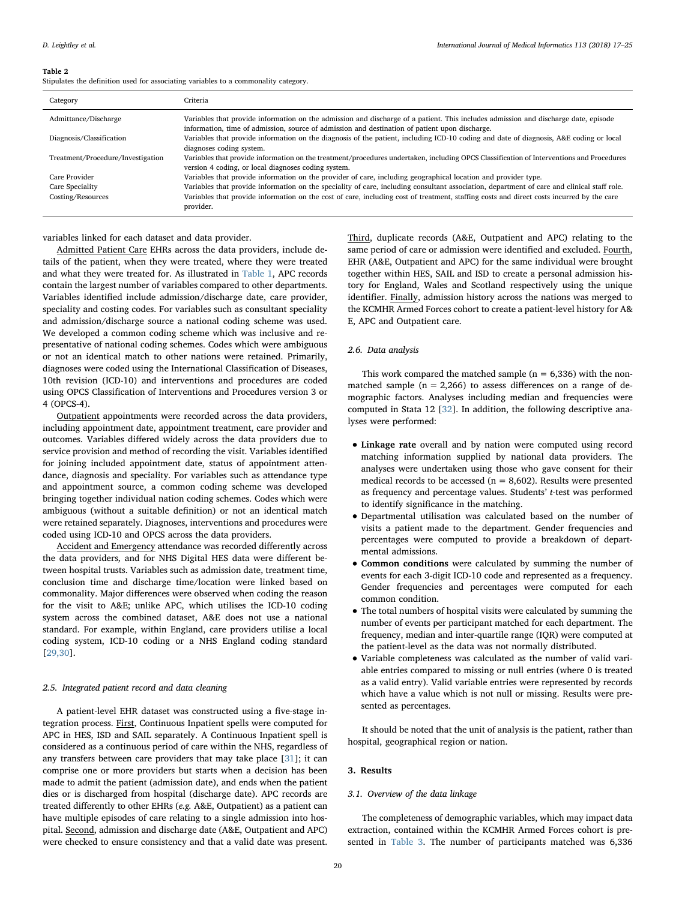<span id="page-3-0"></span>Stipulates the definition used for associating variables to a commonality category.

| Category                          | Criteria                                                                                                                                                                                                                              |
|-----------------------------------|---------------------------------------------------------------------------------------------------------------------------------------------------------------------------------------------------------------------------------------|
| Admittance/Discharge              | Variables that provide information on the admission and discharge of a patient. This includes admission and discharge date, episode<br>information, time of admission, source of admission and destination of patient upon discharge. |
| Diagnosis/Classification          | Variables that provide information on the diagnosis of the patient, including ICD-10 coding and date of diagnosis, A&E coding or local<br>diagnoses coding system.                                                                    |
| Treatment/Procedure/Investigation | Variables that provide information on the treatment/procedures undertaken, including OPCS Classification of Interventions and Procedures<br>version 4 coding, or local diagnoses coding system.                                       |
| Care Provider                     | Variables that provide information on the provider of care, including geographical location and provider type.                                                                                                                        |
| Care Speciality                   | Variables that provide information on the speciality of care, including consultant association, department of care and clinical staff role.                                                                                           |
| Costing/Resources                 | Variables that provide information on the cost of care, including cost of treatment, staffing costs and direct costs incurred by the care<br>provider.                                                                                |

variables linked for each dataset and data provider.

Admitted Patient Care EHRs across the data providers, include details of the patient, when they were treated, where they were treated and what they were treated for. As illustrated in [Table 1](#page-2-0), APC records contain the largest number of variables compared to other departments. Variables identified include admission/discharge date, care provider, speciality and costing codes. For variables such as consultant speciality and admission/discharge source a national coding scheme was used. We developed a common coding scheme which was inclusive and representative of national coding schemes. Codes which were ambiguous or not an identical match to other nations were retained. Primarily, diagnoses were coded using the International Classification of Diseases, 10th revision (ICD-10) and interventions and procedures are coded using OPCS Classification of Interventions and Procedures version 3 or 4 (OPCS-4).

Outpatient appointments were recorded across the data providers, including appointment date, appointment treatment, care provider and outcomes. Variables differed widely across the data providers due to service provision and method of recording the visit. Variables identified for joining included appointment date, status of appointment attendance, diagnosis and speciality. For variables such as attendance type and appointment source, a common coding scheme was developed bringing together individual nation coding schemes. Codes which were ambiguous (without a suitable definition) or not an identical match were retained separately. Diagnoses, interventions and procedures were coded using ICD-10 and OPCS across the data providers.

Accident and Emergency attendance was recorded differently across the data providers, and for NHS Digital HES data were different between hospital trusts. Variables such as admission date, treatment time, conclusion time and discharge time/location were linked based on commonality. Major differences were observed when coding the reason for the visit to A&E; unlike APC, which utilises the ICD-10 coding system across the combined dataset, A&E does not use a national standard. For example, within England, care providers utilise a local coding system, ICD-10 coding or a NHS England coding standard [[29,30](#page-8-6)].

# 2.5. Integrated patient record and data cleaning

A patient-level EHR dataset was constructed using a five-stage integration process. First, Continuous Inpatient spells were computed for APC in HES, ISD and SAIL separately. A Continuous Inpatient spell is considered as a continuous period of care within the NHS, regardless of any transfers between care providers that may take place [[31\]](#page-8-7); it can comprise one or more providers but starts when a decision has been made to admit the patient (admission date), and ends when the patient dies or is discharged from hospital (discharge date). APC records are treated differently to other EHRs (e.g. A&E, Outpatient) as a patient can have multiple episodes of care relating to a single admission into hospital. Second, admission and discharge date (A&E, Outpatient and APC) were checked to ensure consistency and that a valid date was present.

Third, duplicate records (A&E, Outpatient and APC) relating to the same period of care or admission were identified and excluded. Fourth, EHR (A&E, Outpatient and APC) for the same individual were brought together within HES, SAIL and ISD to create a personal admission history for England, Wales and Scotland respectively using the unique identifier. Finally, admission history across the nations was merged to the KCMHR Armed Forces cohort to create a patient-level history for A& E, APC and Outpatient care.

# 2.6. Data analysis

This work compared the matched sample ( $n = 6,336$ ) with the nonmatched sample ( $n = 2,266$ ) to assess differences on a range of demographic factors. Analyses including median and frequencies were computed in Stata 12 [\[32](#page-8-8)]. In addition, the following descriptive analyses were performed:

- Linkage rate overall and by nation were computed using record matching information supplied by national data providers. The analyses were undertaken using those who gave consent for their medical records to be accessed ( $n = 8,602$ ). Results were presented as frequency and percentage values. Students' t-test was performed to identify significance in the matching.
- Departmental utilisation was calculated based on the number of visits a patient made to the department. Gender frequencies and percentages were computed to provide a breakdown of departmental admissions.
- Common conditions were calculated by summing the number of events for each 3-digit ICD-10 code and represented as a frequency. Gender frequencies and percentages were computed for each common condition.
- The total numbers of hospital visits were calculated by summing the number of events per participant matched for each department. The frequency, median and inter-quartile range (IQR) were computed at the patient-level as the data was not normally distributed.
- Variable completeness was calculated as the number of valid variable entries compared to missing or null entries (where 0 is treated as a valid entry). Valid variable entries were represented by records which have a value which is not null or missing. Results were presented as percentages.

It should be noted that the unit of analysis is the patient, rather than hospital, geographical region or nation.

## 3. Results

### 3.1. Overview of the data linkage

The completeness of demographic variables, which may impact data extraction, contained within the KCMHR Armed Forces cohort is presented in [Table 3.](#page-4-0) The number of participants matched was 6,336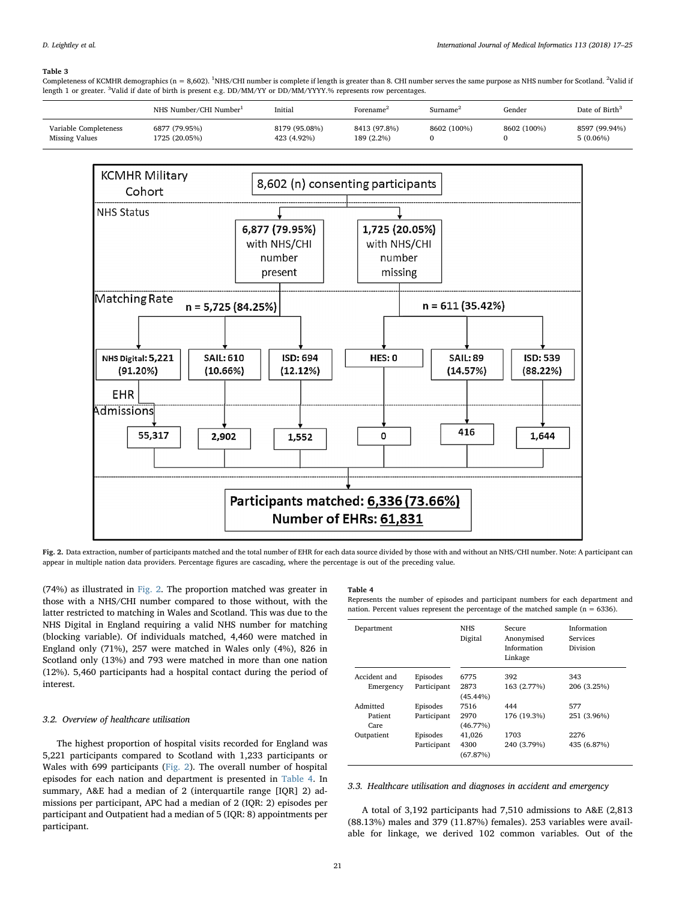<span id="page-4-0"></span>Completeness of KCMHR demographics (n = 8,602). <sup>1</sup>NHS/CHI number is complete if length is greater than 8. CHI number serves the same purpose as NHS number for Scotland. <sup>2</sup>Valid ii length 1 or greater. <sup>3</sup>Valid if date of birth is present e.g. DD/MM/YY or DD/MM/YYYY.% represents row percentages.

|                                         | NHS Number/CHI Number          | Initial                      | Forename <sup>4</sup>      | Surname*    | Gender      | Date of Birth <sup>3</sup>   |
|-----------------------------------------|--------------------------------|------------------------------|----------------------------|-------------|-------------|------------------------------|
| Variable Completeness<br>Missing Values | 6877 (79.95%)<br>1725 (20.05%) | 8179 (95.08%)<br>423 (4.92%) | 8413 (97.8%)<br>189 (2.2%) | 8602 (100%) | 8602 (100%) | 8597 (99.94%)<br>$5(0.06\%)$ |

<span id="page-4-1"></span>

Fig. 2. Data extraction, number of participants matched and the total number of EHR for each data source divided by those with and without an NHS/CHI number. Note: A participant can appear in multiple nation data providers. Percentage figures are cascading, where the percentage is out of the preceding value.

(74%) as illustrated in [Fig. 2.](#page-4-1) The proportion matched was greater in those with a NHS/CHI number compared to those without, with the latter restricted to matching in Wales and Scotland. This was due to the NHS Digital in England requiring a valid NHS number for matching (blocking variable). Of individuals matched, 4,460 were matched in England only (71%), 257 were matched in Wales only (4%), 826 in Scotland only (13%) and 793 were matched in more than one nation (12%). 5,460 participants had a hospital contact during the period of interest.

# 3.2. Overview of healthcare utilisation

The highest proportion of hospital visits recorded for England was 5,221 participants compared to Scotland with 1,233 participants or Wales with 699 participants ([Fig. 2\)](#page-4-1). The overall number of hospital episodes for each nation and department is presented in [Table 4.](#page-4-2) In summary, A&E had a median of 2 (interquartile range [IQR] 2) admissions per participant, APC had a median of 2 (IQR: 2) episodes per participant and Outpatient had a median of 5 (IQR: 8) appointments per participant.

#### <span id="page-4-2"></span>Table 4

Represents the number of episodes and participant numbers for each department and nation. Percent values represent the percentage of the matched sample ( $n = 6336$ ).

| Department                |                         | <b>NHS</b><br>Digital       | Secure<br>Anonymised<br>Information<br>Linkage | Information<br>Services<br>Division |
|---------------------------|-------------------------|-----------------------------|------------------------------------------------|-------------------------------------|
| Accident and<br>Emergency | Episodes<br>Participant | 6775<br>2873<br>$(45.44\%)$ | 392<br>163 (2.77%)                             | 343<br>206 (3.25%)                  |
| Admitted                  | Episodes                | 7516                        | 444                                            | 577                                 |
| Patient<br>Care           | Participant             | 2970<br>$(46.77\%)$         | 176 (19.3%)                                    | 251 (3.96%)                         |
| Outpatient                | Episodes<br>Participant | 41.026<br>4300              | 1703<br>240 (3.79%)                            | 2276<br>435 (6.87%)                 |
|                           |                         | (67.87%)                    |                                                |                                     |

3.3. Healthcare utilisation and diagnoses in accident and emergency

A total of 3,192 participants had 7,510 admissions to A&E (2,813 (88.13%) males and 379 (11.87%) females). 253 variables were available for linkage, we derived 102 common variables. Out of the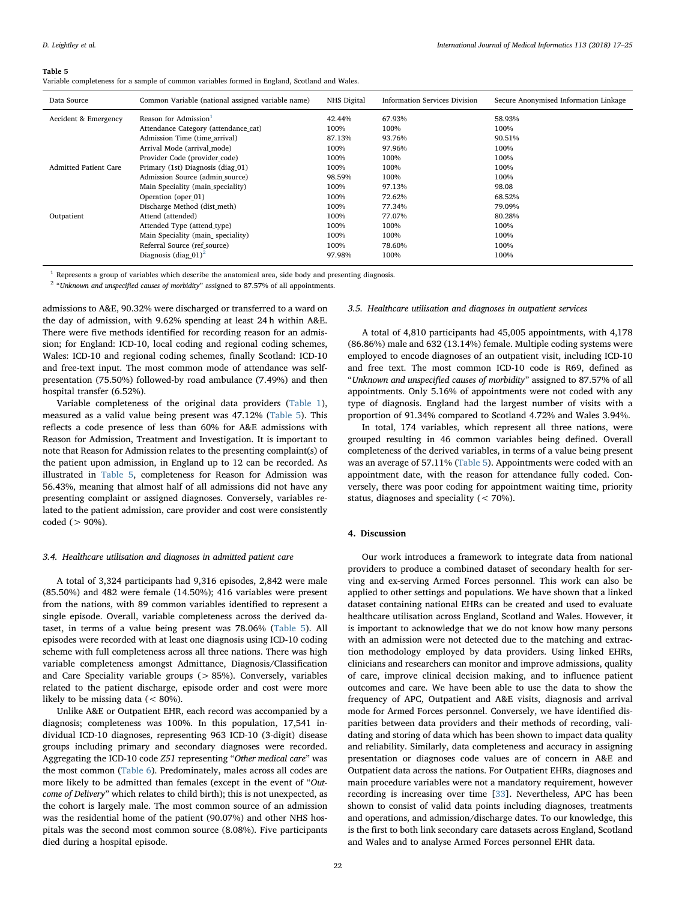<span id="page-5-0"></span>Variable completeness for a sample of common variables formed in England, Scotland and Wales.

| Data Source           | Common Variable (national assigned variable name) | NHS Digital | <b>Information Services Division</b> | Secure Anonymised Information Linkage |
|-----------------------|---------------------------------------------------|-------------|--------------------------------------|---------------------------------------|
| Accident & Emergency  | Reason for Admission                              | 42.44%      | 67.93%                               | 58.93%                                |
|                       | Attendance Category (attendance_cat)              | 100%        | 100%                                 | 100%                                  |
|                       | Admission Time (time arrival)                     | 87.13%      | 93.76%                               | 90.51%                                |
|                       | Arrival Mode (arrival mode)                       | 100%        | 97.96%                               | 100%                                  |
|                       | Provider Code (provider code)                     | 100%        | 100%                                 | 100%                                  |
| Admitted Patient Care | Primary (1st) Diagnosis (diag 01)                 | 100%        | 100%                                 | 100%                                  |
|                       | Admission Source (admin source)                   | 98.59%      | 100%                                 | 100%                                  |
|                       | Main Speciality (main_speciality)                 | 100%        | 97.13%                               | 98.08                                 |
|                       | Operation (oper_01)                               | 100%        | 72.62%                               | 68.52%                                |
|                       | Discharge Method (dist meth)                      | 100%        | 77.34%                               | 79.09%                                |
| Outpatient            | Attend (attended)                                 | 100%        | 77.07%                               | 80.28%                                |
|                       | Attended Type (attend type)                       | 100%        | 100%                                 | 100%                                  |
|                       | Main Speciality (main_speciality)                 | 100%        | 100%                                 | 100%                                  |
|                       | Referral Source (ref source)                      | 100%        | 78.60%                               | 100%                                  |
|                       | Diagnosis (diag $01$ ) <sup>2</sup>               | 97.98%      | 100%                                 | 100%                                  |

<span id="page-5-1"></span><sup>1</sup> Represents a group of variables which describe the anatomical area, side body and presenting diagnosis.

<span id="page-5-2"></span><sup>2</sup> "Unknown and unspecified causes of morbidity" assigned to 87.57% of all appointments.

admissions to A&E, 90.32% were discharged or transferred to a ward on the day of admission, with 9.62% spending at least 24 h within A&E. There were five methods identified for recording reason for an admission; for England: ICD-10, local coding and regional coding schemes, Wales: ICD-10 and regional coding schemes, finally Scotland: ICD-10 and free-text input. The most common mode of attendance was selfpresentation (75.50%) followed-by road ambulance (7.49%) and then hospital transfer (6.52%).

Variable completeness of the original data providers ([Table 1](#page-2-0)), measured as a valid value being present was 47.12% ([Table 5](#page-5-0)). This reflects a code presence of less than 60% for A&E admissions with Reason for Admission, Treatment and Investigation. It is important to note that Reason for Admission relates to the presenting complaint(s) of the patient upon admission, in England up to 12 can be recorded. As illustrated in [Table 5,](#page-5-0) completeness for Reason for Admission was 56.43%, meaning that almost half of all admissions did not have any presenting complaint or assigned diagnoses. Conversely, variables related to the patient admission, care provider and cost were consistently coded (> 90%).

### 3.4. Healthcare utilisation and diagnoses in admitted patient care

A total of 3,324 participants had 9,316 episodes, 2,842 were male (85.50%) and 482 were female (14.50%); 416 variables were present from the nations, with 89 common variables identified to represent a single episode. Overall, variable completeness across the derived dataset, in terms of a value being present was 78.06% [\(Table 5](#page-5-0)). All episodes were recorded with at least one diagnosis using ICD-10 coding scheme with full completeness across all three nations. There was high variable completeness amongst Admittance, Diagnosis/Classification and Care Speciality variable groups (> 85%). Conversely, variables related to the patient discharge, episode order and cost were more likely to be missing data  $(< 80\%)$ .

Unlike A&E or Outpatient EHR, each record was accompanied by a diagnosis; completeness was 100%. In this population, 17,541 individual ICD-10 diagnoses, representing 963 ICD-10 (3-digit) disease groups including primary and secondary diagnoses were recorded. Aggregating the ICD-10 code Z51 representing "Other medical care" was the most common ([Table 6](#page-6-0)). Predominately, males across all codes are more likely to be admitted than females (except in the event of "Outcome of Delivery" which relates to child birth); this is not unexpected, as the cohort is largely male. The most common source of an admission was the residential home of the patient (90.07%) and other NHS hospitals was the second most common source (8.08%). Five participants died during a hospital episode.

### 3.5. Healthcare utilisation and diagnoses in outpatient services

A total of 4,810 participants had 45,005 appointments, with 4,178 (86.86%) male and 632 (13.14%) female. Multiple coding systems were employed to encode diagnoses of an outpatient visit, including ICD-10 and free text. The most common ICD-10 code is R69, defined as "Unknown and unspecified causes of morbidity" assigned to 87.57% of all appointments. Only 5.16% of appointments were not coded with any type of diagnosis. England had the largest number of visits with a proportion of 91.34% compared to Scotland 4.72% and Wales 3.94%.

In total, 174 variables, which represent all three nations, were grouped resulting in 46 common variables being defined. Overall completeness of the derived variables, in terms of a value being present was an average of 57.11% ([Table 5\)](#page-5-0). Appointments were coded with an appointment date, with the reason for attendance fully coded. Conversely, there was poor coding for appointment waiting time, priority status, diagnoses and speciality (< 70%).

### 4. Discussion

Our work introduces a framework to integrate data from national providers to produce a combined dataset of secondary health for serving and ex-serving Armed Forces personnel. This work can also be applied to other settings and populations. We have shown that a linked dataset containing national EHRs can be created and used to evaluate healthcare utilisation across England, Scotland and Wales. However, it is important to acknowledge that we do not know how many persons with an admission were not detected due to the matching and extraction methodology employed by data providers. Using linked EHRs, clinicians and researchers can monitor and improve admissions, quality of care, improve clinical decision making, and to influence patient outcomes and care. We have been able to use the data to show the frequency of APC, Outpatient and A&E visits, diagnosis and arrival mode for Armed Forces personnel. Conversely, we have identified disparities between data providers and their methods of recording, validating and storing of data which has been shown to impact data quality and reliability. Similarly, data completeness and accuracy in assigning presentation or diagnoses code values are of concern in A&E and Outpatient data across the nations. For Outpatient EHRs, diagnoses and main procedure variables were not a mandatory requirement, however recording is increasing over time [[33\]](#page-8-9). Nevertheless, APC has been shown to consist of valid data points including diagnoses, treatments and operations, and admission/discharge dates. To our knowledge, this is the first to both link secondary care datasets across England, Scotland and Wales and to analyse Armed Forces personnel EHR data.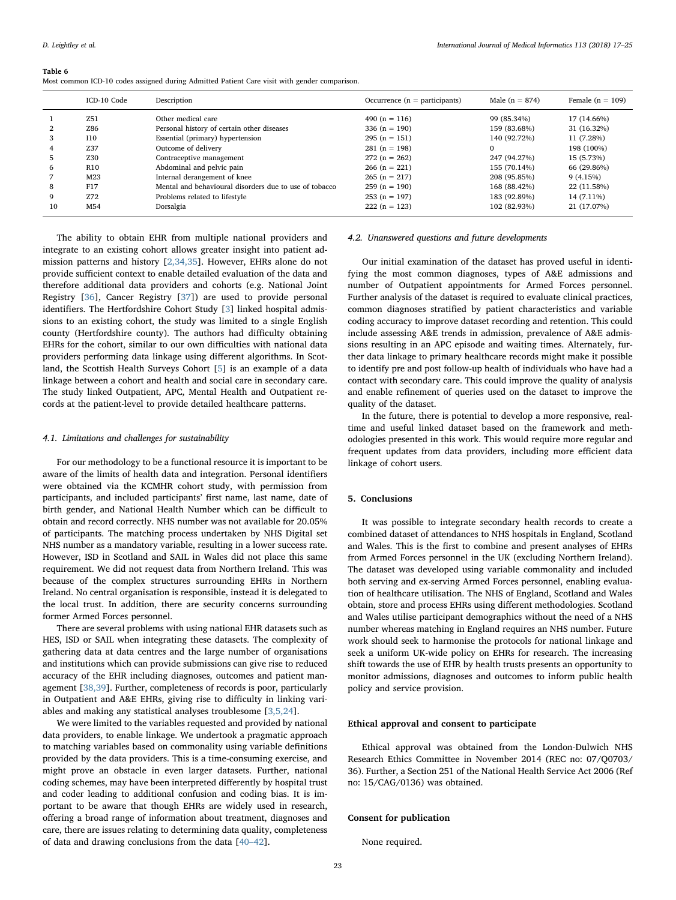<span id="page-6-0"></span>Most common ICD-10 codes assigned during Admitted Patient Care visit with gender comparison.

|    | ICD-10 Code     | Description                                            | Occurrence $(n =$ participants) | Male $(n = 874)$ | Female $(n = 109)$ |
|----|-----------------|--------------------------------------------------------|---------------------------------|------------------|--------------------|
|    | Z51             | Other medical care                                     | 490 (n = 116)                   | 99 (85.34%)      | 17 (14.66%)        |
| 2  | Z86             | Personal history of certain other diseases             | 336 $(n = 190)$                 | 159 (83.68%)     | 31 (16.32%)        |
| 3  | <b>I10</b>      | Essential (primary) hypertension                       | $295(n = 151)$                  | 140 (92.72%)     | 11 (7.28%)         |
|    | Z37             | Outcome of delivery                                    | $281(n = 198)$                  | 0                | 198 (100%)         |
| 5  | Z30             | Contraceptive management                               | $272(n = 262)$                  | 247 (94.27%)     | 15 (5.73%)         |
| 6  | R <sub>10</sub> | Abdominal and pelvic pain                              | $266(n = 221)$                  | 155 (70.14%)     | 66 (29.86%)        |
|    | M23             | Internal derangement of knee                           | $265(n = 217)$                  | 208 (95.85%)     | 9(4.15%)           |
| 8  | F17             | Mental and behavioural disorders due to use of tobacco | $259(n = 190)$                  | 168 (88.42%)     | 22 (11.58%)        |
| 9  | Z72             | Problems related to lifestyle                          | $253(n = 197)$                  | 183 (92.89%)     | 14 (7.11%)         |
| 10 | M54             | Dorsalgia                                              | $222(n = 123)$                  | 102 (82.93%)     | 21 (17.07%)        |

The ability to obtain EHR from multiple national providers and integrate to an existing cohort allows greater insight into patient admission patterns and history [\[2,34,35](#page-7-1)]. However, EHRs alone do not provide sufficient context to enable detailed evaluation of the data and therefore additional data providers and cohorts (e.g. National Joint Registry [\[36](#page-8-10)], Cancer Registry [\[37](#page-8-11)]) are used to provide personal identifiers. The Hertfordshire Cohort Study [\[3\]](#page-7-11) linked hospital admissions to an existing cohort, the study was limited to a single English county (Hertfordshire county). The authors had difficulty obtaining EHRs for the cohort, similar to our own difficulties with national data providers performing data linkage using different algorithms. In Scotland, the Scottish Health Surveys Cohort [[5](#page-7-12)] is an example of a data linkage between a cohort and health and social care in secondary care. The study linked Outpatient, APC, Mental Health and Outpatient records at the patient-level to provide detailed healthcare patterns.

### 4.1. Limitations and challenges for sustainability

For our methodology to be a functional resource it is important to be aware of the limits of health data and integration. Personal identifiers were obtained via the KCMHR cohort study, with permission from participants, and included participants' first name, last name, date of birth gender, and National Health Number which can be difficult to obtain and record correctly. NHS number was not available for 20.05% of participants. The matching process undertaken by NHS Digital set NHS number as a mandatory variable, resulting in a lower success rate. However, ISD in Scotland and SAIL in Wales did not place this same requirement. We did not request data from Northern Ireland. This was because of the complex structures surrounding EHRs in Northern Ireland. No central organisation is responsible, instead it is delegated to the local trust. In addition, there are security concerns surrounding former Armed Forces personnel.

There are several problems with using national EHR datasets such as HES, ISD or SAIL when integrating these datasets. The complexity of gathering data at data centres and the large number of organisations and institutions which can provide submissions can give rise to reduced accuracy of the EHR including diagnoses, outcomes and patient management [\[38,39\]](#page-8-12). Further, completeness of records is poor, particularly in Outpatient and A&E EHRs, giving rise to difficulty in linking variables and making any statistical analyses troublesome [\[3,5,24\]](#page-7-11).

We were limited to the variables requested and provided by national data providers, to enable linkage. We undertook a pragmatic approach to matching variables based on commonality using variable definitions provided by the data providers. This is a time-consuming exercise, and might prove an obstacle in even larger datasets. Further, national coding schemes, may have been interpreted differently by hospital trust and coder leading to additional confusion and coding bias. It is important to be aware that though EHRs are widely used in research, offering a broad range of information about treatment, diagnoses and care, there are issues relating to determining data quality, completeness of data and drawing conclusions from the data [40–[42\]](#page-8-13).

### 4.2. Unanswered questions and future developments

Our initial examination of the dataset has proved useful in identifying the most common diagnoses, types of A&E admissions and number of Outpatient appointments for Armed Forces personnel. Further analysis of the dataset is required to evaluate clinical practices, common diagnoses stratified by patient characteristics and variable coding accuracy to improve dataset recording and retention. This could include assessing A&E trends in admission, prevalence of A&E admissions resulting in an APC episode and waiting times. Alternately, further data linkage to primary healthcare records might make it possible to identify pre and post follow-up health of individuals who have had a contact with secondary care. This could improve the quality of analysis and enable refinement of queries used on the dataset to improve the quality of the dataset.

In the future, there is potential to develop a more responsive, realtime and useful linked dataset based on the framework and methodologies presented in this work. This would require more regular and frequent updates from data providers, including more efficient data linkage of cohort users.

### 5. Conclusions

It was possible to integrate secondary health records to create a combined dataset of attendances to NHS hospitals in England, Scotland and Wales. This is the first to combine and present analyses of EHRs from Armed Forces personnel in the UK (excluding Northern Ireland). The dataset was developed using variable commonality and included both serving and ex-serving Armed Forces personnel, enabling evaluation of healthcare utilisation. The NHS of England, Scotland and Wales obtain, store and process EHRs using different methodologies. Scotland and Wales utilise participant demographics without the need of a NHS number whereas matching in England requires an NHS number. Future work should seek to harmonise the protocols for national linkage and seek a uniform UK-wide policy on EHRs for research. The increasing shift towards the use of EHR by health trusts presents an opportunity to monitor admissions, diagnoses and outcomes to inform public health policy and service provision.

### Ethical approval and consent to participate

Ethical approval was obtained from the London-Dulwich NHS Research Ethics Committee in November 2014 (REC no: 07/Q0703/ 36). Further, a Section 251 of the National Health Service Act 2006 (Ref no: 15/CAG/0136) was obtained.

### Consent for publication

None required.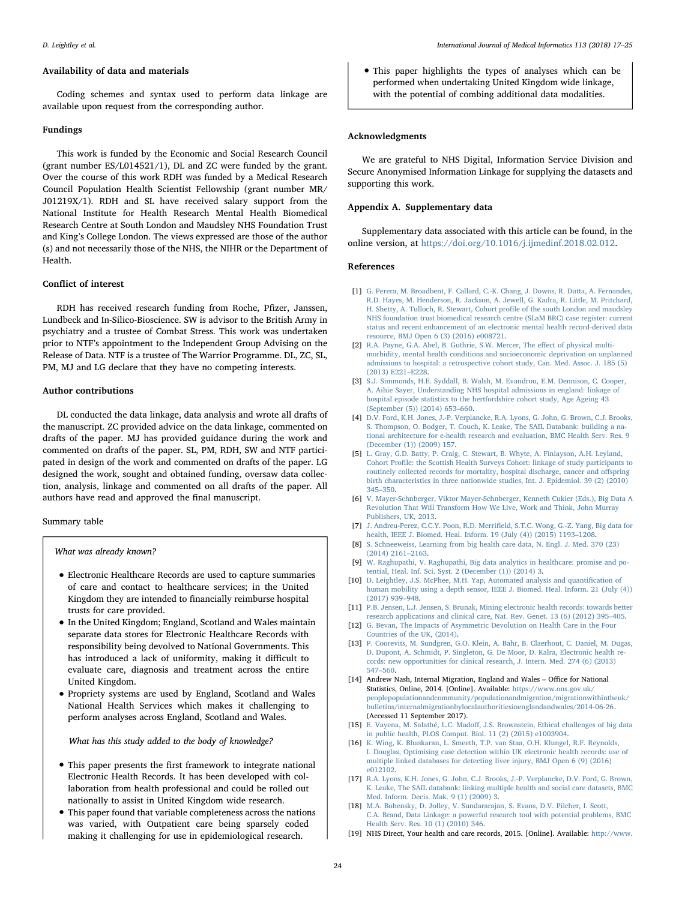### Availability of data and materials

Coding schemes and syntax used to perform data linkage are available upon request from the corresponding author.

# Fundings

This work is funded by the Economic and Social Research Council (grant number ES/L014521/1), DL and ZC were funded by the grant. Over the course of this work RDH was funded by a Medical Research Council Population Health Scientist Fellowship (grant number MR/ J01219X/1). RDH and SL have received salary support from the National Institute for Health Research Mental Health Biomedical Research Centre at South London and Maudsley NHS Foundation Trust and King's College London. The views expressed are those of the author (s) and not necessarily those of the NHS, the NIHR or the Department of Health.

### Conflict of interest

RDH has received research funding from Roche, Pfizer, Janssen, Lundbeck and In-Silico-Bioscience. SW is advisor to the British Army in psychiatry and a trustee of Combat Stress. This work was undertaken prior to NTF's appointment to the Independent Group Advising on the Release of Data. NTF is a trustee of The Warrior Programme. DL, ZC, SL, PM, MJ and LG declare that they have no competing interests.

## Author contributions

DL conducted the data linkage, data analysis and wrote all drafts of the manuscript. ZC provided advice on the data linkage, commented on drafts of the paper. MJ has provided guidance during the work and commented on drafts of the paper. SL, PM, RDH, SW and NTF participated in design of the work and commented on drafts of the paper. LG designed the work, sought and obtained funding, oversaw data collection, analysis, linkage and commented on all drafts of the paper. All authors have read and approved the final manuscript.

Summary table

What was already known?

- Electronic Healthcare Records are used to capture summaries of care and contact to healthcare services; in the United Kingdom they are intended to financially reimburse hospital trusts for care provided.
- In the United Kingdom; England, Scotland and Wales maintain separate data stores for Electronic Healthcare Records with responsibility being devolved to National Governments. This has introduced a lack of uniformity, making it difficult to evaluate care, diagnosis and treatment across the entire United Kingdom.
- Propriety systems are used by England, Scotland and Wales National Health Services which makes it challenging to perform analyses across England, Scotland and Wales.

What has this study added to the body of knowledge?

- This paper presents the first framework to integrate national Electronic Health Records. It has been developed with collaboration from health professional and could be rolled out nationally to assist in United Kingdom wide research.
- This paper found that variable completeness across the nations was varied, with Outpatient care being sparsely coded making it challenging for use in epidemiological research.

• This paper highlights the types of analyses which can be performed when undertaking United Kingdom wide linkage, with the potential of combing additional data modalities.

### Acknowledgments

We are grateful to NHS Digital, Information Service Division and Secure Anonymised Information Linkage for supplying the datasets and supporting this work.

# Appendix A. Supplementary data

Supplementary data associated with this article can be found, in the online version, at <https://doi.org/10.1016/j.ijmedinf.2018.02.012>.

# References

- <span id="page-7-0"></span>[1] [G. Perera, M. Broadbent, F. Callard, C.-K. Chang, J. Downs, R. Dutta, A. Fernandes,](http://refhub.elsevier.com/S1386-5056(18)30090-X/sbref0005) [R.D. Hayes, M. Henderson, R. Jackson, A. Jewell, G. Kadra, R. Little, M. Pritchard,](http://refhub.elsevier.com/S1386-5056(18)30090-X/sbref0005) [H. Shetty, A. Tulloch, R. Stewart, Cohort pro](http://refhub.elsevier.com/S1386-5056(18)30090-X/sbref0005)file of the south London and maudsley [NHS foundation trust biomedical research centre \(SLaM BRC\) case register: current](http://refhub.elsevier.com/S1386-5056(18)30090-X/sbref0005) [status and recent enhancement of an electronic mental health record-derived data](http://refhub.elsevier.com/S1386-5056(18)30090-X/sbref0005) [resource, BMJ Open 6 \(3\) \(2016\) e008721.](http://refhub.elsevier.com/S1386-5056(18)30090-X/sbref0005)
- <span id="page-7-1"></span>[2] [R.A. Payne, G.A. Abel, B. Guthrie, S.W. Mercer, The e](http://refhub.elsevier.com/S1386-5056(18)30090-X/sbref0010)ffect of physical multi[morbidity, mental health conditions and socioeconomic deprivation on unplanned](http://refhub.elsevier.com/S1386-5056(18)30090-X/sbref0010) [admissions to hospital: a retrospective cohort study, Can. Med. Assoc. J. 185 \(5\)](http://refhub.elsevier.com/S1386-5056(18)30090-X/sbref0010) [\(2013\) E221](http://refhub.elsevier.com/S1386-5056(18)30090-X/sbref0010)–E228.
- <span id="page-7-11"></span>[3] [S.J. Simmonds, H.E. Syddall, B. Walsh, M. Evandrou, E.M. Dennison, C. Cooper,](http://refhub.elsevier.com/S1386-5056(18)30090-X/sbref0015) [A. Aihie Sayer, Understanding NHS hospital admissions in england: linkage of](http://refhub.elsevier.com/S1386-5056(18)30090-X/sbref0015) [hospital episode statistics to the hertfordshire cohort study, Age Ageing 43](http://refhub.elsevier.com/S1386-5056(18)30090-X/sbref0015) [\(September \(5\)\) \(2014\) 653](http://refhub.elsevier.com/S1386-5056(18)30090-X/sbref0015)–660.
- <span id="page-7-2"></span>[4] [D.V. Ford, K.H. Jones, J.-P. Verplancke, R.A. Lyons, G. John, G. Brown, C.J. Brooks,](http://refhub.elsevier.com/S1386-5056(18)30090-X/sbref0020) [S. Thompson, O. Bodger, T. Couch, K. Leake, The SAIL Databank: building a na](http://refhub.elsevier.com/S1386-5056(18)30090-X/sbref0020)[tional architecture for e-health research and evaluation, BMC Health Serv. Res. 9](http://refhub.elsevier.com/S1386-5056(18)30090-X/sbref0020) [\(December \(1\)\) \(2009\) 157.](http://refhub.elsevier.com/S1386-5056(18)30090-X/sbref0020)
- <span id="page-7-12"></span>[5] [L. Gray, G.D. Batty, P. Craig, C. Stewart, B. Whyte, A. Finlayson, A.H. Leyland,](http://refhub.elsevier.com/S1386-5056(18)30090-X/sbref0025) Cohort Profi[le: the Scottish Health Surveys Cohort: linkage of study participants to](http://refhub.elsevier.com/S1386-5056(18)30090-X/sbref0025) [routinely collected records for mortality, hospital discharge, cancer and o](http://refhub.elsevier.com/S1386-5056(18)30090-X/sbref0025)ffspring [birth characteristics in three nationwide studies, Int. J. Epidemiol. 39 \(2\) \(2010\)](http://refhub.elsevier.com/S1386-5056(18)30090-X/sbref0025) 345–[350.](http://refhub.elsevier.com/S1386-5056(18)30090-X/sbref0025)
- <span id="page-7-3"></span>[6] [V. Mayer-Schnberger, Viktor Mayer-Schnberger, Kenneth Cukier \(Eds.\), Big Data A](http://refhub.elsevier.com/S1386-5056(18)30090-X/sbref0030) [Revolution That Will Transform How We Live, Work and Think, John Murray](http://refhub.elsevier.com/S1386-5056(18)30090-X/sbref0030) [Publishers, UK, 2013.](http://refhub.elsevier.com/S1386-5056(18)30090-X/sbref0030)
- <span id="page-7-4"></span>[7] J. Andreu-Perez, C.C.Y. Poon, R.D. Merrifi[eld, S.T.C. Wong, G.-Z. Yang, Big data for](http://refhub.elsevier.com/S1386-5056(18)30090-X/sbref0035) [health, IEEE J. Biomed. Heal. Inform. 19 \(July \(4\)\) \(2015\) 1193](http://refhub.elsevier.com/S1386-5056(18)30090-X/sbref0035)–1208.
- <span id="page-7-5"></span>[8] [S. Schneeweiss, Learning from big health care data, N. Engl. J. Med. 370 \(23\)](http://refhub.elsevier.com/S1386-5056(18)30090-X/sbref0040) [\(2014\) 2161](http://refhub.elsevier.com/S1386-5056(18)30090-X/sbref0040)–2163.
- [9] [W. Raghupathi, V. Raghupathi, Big data analytics in healthcare: promise and po](http://refhub.elsevier.com/S1386-5056(18)30090-X/sbref0045)[tential, Heal. Inf. Sci. Syst. 2 \(December \(1\)\) \(2014\) 3.](http://refhub.elsevier.com/S1386-5056(18)30090-X/sbref0045)
- [10] [D. Leightley, J.S. McPhee, M.H. Yap, Automated analysis and quanti](http://refhub.elsevier.com/S1386-5056(18)30090-X/sbref0050)fication of [human mobility using a depth sensor, IEEE J. Biomed. Heal. Inform. 21 \(July \(4\)\)](http://refhub.elsevier.com/S1386-5056(18)30090-X/sbref0050) [\(2017\) 939](http://refhub.elsevier.com/S1386-5056(18)30090-X/sbref0050)–948.
- <span id="page-7-6"></span>[11] [P.B. Jensen, L.J. Jensen, S. Brunak, Mining electronic health records: towards better](http://refhub.elsevier.com/S1386-5056(18)30090-X/sbref0055) [research applications and clinical care, Nat. Rev. Genet. 13 \(6\) \(2012\) 395](http://refhub.elsevier.com/S1386-5056(18)30090-X/sbref0055)–405.
- [12] [G. Bevan, The Impacts of Asymmetric Devolution on Health Care in the Four](http://refhub.elsevier.com/S1386-5056(18)30090-X/sbref0060) [Countries of the UK, \(2014\).](http://refhub.elsevier.com/S1386-5056(18)30090-X/sbref0060)
- <span id="page-7-8"></span>[13] [P. Coorevits, M. Sundgren, G.O. Klein, A. Bahr, B. Claerhout, C. Daniel, M. Dugas,](http://refhub.elsevier.com/S1386-5056(18)30090-X/sbref0065) [D. Dupont, A. Schmidt, P. Singleton, G. De Moor, D. Kalra, Electronic health re](http://refhub.elsevier.com/S1386-5056(18)30090-X/sbref0065)[cords: new opportunities for clinical research, J. Intern. Med. 274 \(6\) \(2013\)](http://refhub.elsevier.com/S1386-5056(18)30090-X/sbref0065) 547–[560.](http://refhub.elsevier.com/S1386-5056(18)30090-X/sbref0065)
- <span id="page-7-7"></span>[14] Andrew Nash, Internal Migration, England and Wales – Office for National Statistics, Online, 2014. [Online]. Available: [https://www.ons.gov.uk/](https://www.ons.gov.uk/peoplepopulationandcommunity/populationandmigration/migrationwithintheuk/bulletins/internalmigrationbylocalauthoritiesinenglandandwales/2014-06-26) [peoplepopulationandcommunity/populationandmigration/migrationwithintheuk/](https://www.ons.gov.uk/peoplepopulationandcommunity/populationandmigration/migrationwithintheuk/bulletins/internalmigrationbylocalauthoritiesinenglandandwales/2014-06-26) [bulletins/internalmigrationbylocalauthoritiesinenglandandwales/2014-06-26](https://www.ons.gov.uk/peoplepopulationandcommunity/populationandmigration/migrationwithintheuk/bulletins/internalmigrationbylocalauthoritiesinenglandandwales/2014-06-26). (Accessed 11 September 2017).
- [15] E. Vayena, M. Salathé, L.C. Madoff[, J.S. Brownstein, Ethical challenges of big data](http://refhub.elsevier.com/S1386-5056(18)30090-X/sbref0075) [in public health, PLOS Comput. Biol. 11 \(2\) \(2015\) e1003904.](http://refhub.elsevier.com/S1386-5056(18)30090-X/sbref0075)
- [16] [K. Wing, K. Bhaskaran, L. Smeeth, T.P. van Staa, O.H. Klungel, R.F. Reynolds,](http://refhub.elsevier.com/S1386-5056(18)30090-X/sbref0080) [I. Douglas, Optimising case detection within UK electronic health records: use of](http://refhub.elsevier.com/S1386-5056(18)30090-X/sbref0080) [multiple linked databases for detecting liver injury, BMJ Open 6 \(9\) \(2016\)](http://refhub.elsevier.com/S1386-5056(18)30090-X/sbref0080) [e012102.](http://refhub.elsevier.com/S1386-5056(18)30090-X/sbref0080)
- [17] [R.A. Lyons, K.H. Jones, G. John, C.J. Brooks, J.-P. Verplancke, D.V. Ford, G. Brown,](http://refhub.elsevier.com/S1386-5056(18)30090-X/sbref0085) [K. Leake, The SAIL databank: linking multiple health and social care datasets, BMC](http://refhub.elsevier.com/S1386-5056(18)30090-X/sbref0085) [Med. Inform. Decis. Mak. 9 \(1\) \(2009\) 3.](http://refhub.elsevier.com/S1386-5056(18)30090-X/sbref0085)
- <span id="page-7-9"></span>[18] [M.A. Bohensky, D. Jolley, V. Sundararajan, S. Evans, D.V. Pilcher, I. Scott,](http://refhub.elsevier.com/S1386-5056(18)30090-X/sbref0090) [C.A. Brand, Data Linkage: a powerful research tool with potential problems, BMC](http://refhub.elsevier.com/S1386-5056(18)30090-X/sbref0090) [Health Serv. Res. 10 \(1\) \(2010\) 346.](http://refhub.elsevier.com/S1386-5056(18)30090-X/sbref0090)
- <span id="page-7-10"></span>[19] NHS Direct, Your health and care records, 2015. [Online]. Available: [http://www.](http://www.nhs.uk/NHSEngland/thenhs/records/nhs-number/Pages/what-is-the-nhs-number.aspx)